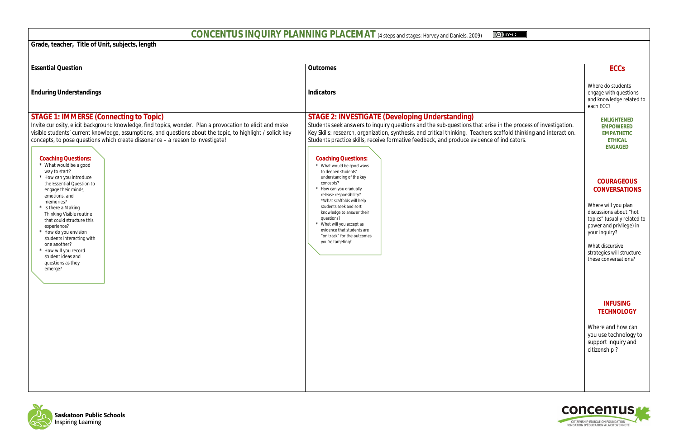# **CONCENTUS INQUIRY PLANNING PLACEMAT** (4 steps and stages: Harvey and Daniels, 2009)

**Grade, teacher, Title of Unit, subjects, length**

# **ECCs**

Where do students engage with questions and knowledge related to each ECC?

> **ENLIGHTENED EMPOWERED EMPATHETIC ETHICAL ENGAGED**

# **COURAGEOUS CONVERSATIONS**

Where will you plan discussions about "hot topics" (usually related to *power and privilege)* in your inquiry?

What *discursive strategies* will structure these conversations?

#### **INFUSING TECHNOLOGY**

Where and how can you use technology to support inquiry and citizenship ?



| <b>Essential Question</b>                                                                                                                                                                                                                                                                                                                                                                                                                                                                                                                                                                                                                                                                                                                                                                               | <b>Outcomes</b>                                                                                                                                                                                                                                                                                                                                                                                                                                                                                                                                                                                                                                                                                                 |
|---------------------------------------------------------------------------------------------------------------------------------------------------------------------------------------------------------------------------------------------------------------------------------------------------------------------------------------------------------------------------------------------------------------------------------------------------------------------------------------------------------------------------------------------------------------------------------------------------------------------------------------------------------------------------------------------------------------------------------------------------------------------------------------------------------|-----------------------------------------------------------------------------------------------------------------------------------------------------------------------------------------------------------------------------------------------------------------------------------------------------------------------------------------------------------------------------------------------------------------------------------------------------------------------------------------------------------------------------------------------------------------------------------------------------------------------------------------------------------------------------------------------------------------|
| <b>Enduring Understandings</b>                                                                                                                                                                                                                                                                                                                                                                                                                                                                                                                                                                                                                                                                                                                                                                          | <b>Indicators</b>                                                                                                                                                                                                                                                                                                                                                                                                                                                                                                                                                                                                                                                                                               |
| <b>STAGE 1: IMMERSE (Connecting to Topic)</b><br>Invite curiosity, elicit background knowledge, find topics, wonder. Plan a provocation to elicit and make<br>visible students' current knowledge, assumptions, and questions about the topic, to highlight / solicit key<br>concepts, to pose questions which create dissonance - a reason to investigate!<br><b>Coaching Questions:</b><br>* What would be a good<br>way to start?<br>* How can you introduce<br>the Essential Question to<br>engage their minds,<br>emotions, and<br>memories?<br>* Is there a Making<br><b>Thinking Visible routine</b><br>that could structure this<br>experience?<br>How do you envision<br>students interacting with<br>one another?<br>How will you record<br>student ideas and<br>questions as they<br>emerge? | <b>STAGE 2: INVESTIGATE (Developing Understanding)</b><br>Students seek answers to inquiry questions and the sub-questions that arise i<br>Key Skills: research, organization, synthesis, and critical thinking. Teachers sc<br>Students practice skills, receive formative feedback, and produce evidence of<br><b>Coaching Questions:</b><br>* What would be good ways<br>to deepen students'<br>understanding of the key<br>concepts?<br>* How can you gradually<br>release responsibility?<br>*What scaffolds will help<br>students seek and sort<br>knowledge to answer their<br>questions?<br>* What will you accept as<br>evidence that students are<br>"on track" for the outcomes<br>you're targeting? |



 $\circ$  BY-NO

## $\sin$  the process of investigation.  $\operatorname{caffold}$  thinking and interaction. f indicators.